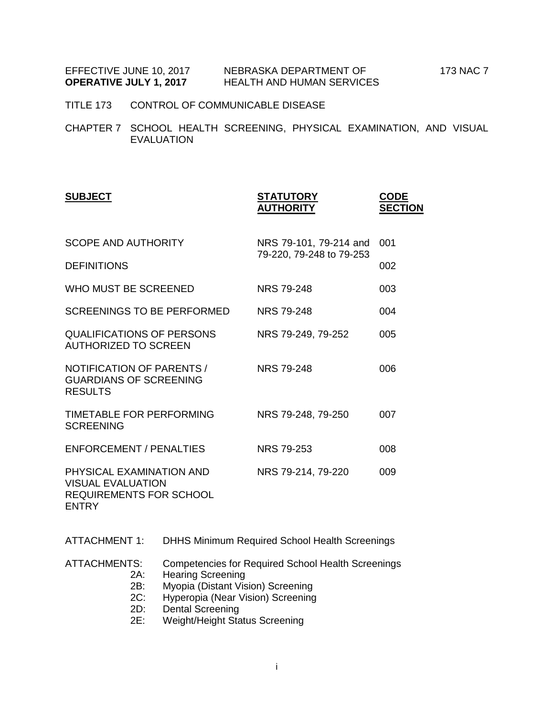EFFECTIVE JUNE 10, 2017 NEBRASKA DEPARTMENT OF 173 NAC 7

- TITLE 173 CONTROL OF COMMUNICABLE DISEASE
- CHAPTER 7 SCHOOL HEALTH SCREENING, PHYSICAL EXAMINATION, AND VISUAL EVALUATION

| <b>SUBJECT</b>                                                                                         | <b>STATUTORY</b><br><b>AUTHORITY</b> | <b>CODE</b><br><b>SECTION</b> |
|--------------------------------------------------------------------------------------------------------|--------------------------------------|-------------------------------|
| <b>SCOPE AND AUTHORITY</b>                                                                             | NRS 79-101, 79-214 and               | 001                           |
| <b>DEFINITIONS</b>                                                                                     | 79-220, 79-248 to 79-253             | 002                           |
| WHO MUST BE SCREENED                                                                                   | NRS 79-248                           | 003                           |
| <b>SCREENINGS TO BE PERFORMED</b>                                                                      | <b>NRS 79-248</b>                    | 004                           |
| <b>QUALIFICATIONS OF PERSONS</b><br>AUTHORIZED TO SCREEN                                               | NRS 79-249, 79-252                   | 005                           |
| NOTIFICATION OF PARENTS /<br><b>GUARDIANS OF SCREENING</b><br><b>RESULTS</b>                           | NRS 79-248                           | 006                           |
| TIMETABLE FOR PERFORMING<br><b>SCREENING</b>                                                           | NRS 79-248, 79-250                   | 007                           |
| <b>ENFORCEMENT / PENALTIES</b>                                                                         | <b>NRS 79-253</b>                    | 008                           |
| PHYSICAL EXAMINATION AND<br><b>VISUAL EVALUATION</b><br><b>REQUIREMENTS FOR SCHOOL</b><br><b>ENTRY</b> | NRS 79-214, 79-220                   | 009                           |

ATTACHMENT 1: DHHS Minimum Required School Health Screenings

- ATTACHMENTS: Competencies for Required School Health Screenings
	- 2A: Hearing Screening
	- 2B: Myopia (Distant Vision) Screening
	- 2C: Hyperopia (Near Vision) Screening<br>2D: Dental Screening
	- 2D: Dental Screening<br>2E: Weight/Height Sta
	- Weight/Height Status Screening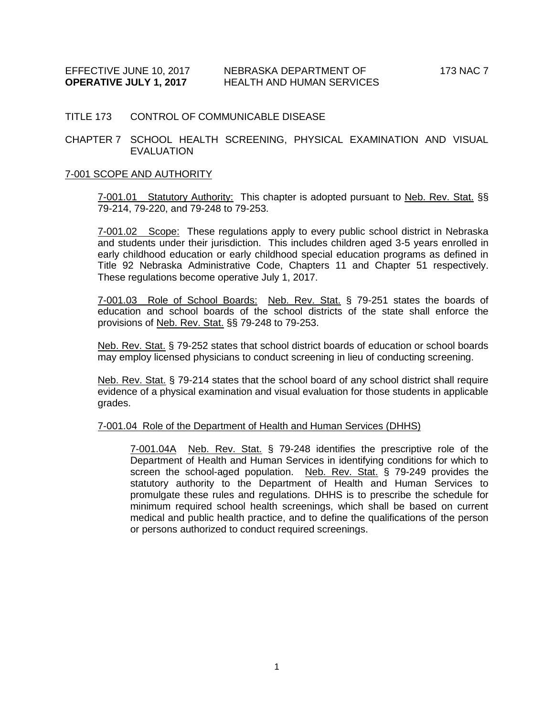#### TITLE 173 CONTROL OF COMMUNICABLE DISEASE

### CHAPTER 7 SCHOOL HEALTH SCREENING, PHYSICAL EXAMINATION AND VISUAL EVALUATION

#### 7-001 SCOPE AND AUTHORITY

7-001.01 Statutory Authority: This chapter is adopted pursuant to Neb. Rev. Stat. §§ 79-214, 79-220, and 79-248 to 79-253.

7-001.02 Scope: These regulations apply to every public school district in Nebraska and students under their jurisdiction. This includes children aged 3-5 years enrolled in early childhood education or early childhood special education programs as defined in Title 92 Nebraska Administrative Code, Chapters 11 and Chapter 51 respectively. These regulations become operative July 1, 2017.

7-001.03 Role of School Boards: Neb. Rev. Stat. § 79-251 states the boards of education and school boards of the school districts of the state shall enforce the provisions of Neb. Rev. Stat. §§ 79-248 to 79-253.

Neb. Rev. Stat. § 79-252 states that school district boards of education or school boards may employ licensed physicians to conduct screening in lieu of conducting screening.

Neb. Rev. Stat. § 79-214 states that the school board of any school district shall require evidence of a physical examination and visual evaluation for those students in applicable grades.

#### 7-001.04 Role of the Department of Health and Human Services (DHHS)

7-001.04A Neb. Rev. Stat. § 79-248 identifies the prescriptive role of the Department of Health and Human Services in identifying conditions for which to screen the school-aged population. Neb. Rev. Stat. § 79-249 provides the statutory authority to the Department of Health and Human Services to promulgate these rules and regulations. DHHS is to prescribe the schedule for minimum required school health screenings, which shall be based on current medical and public health practice, and to define the qualifications of the person or persons authorized to conduct required screenings.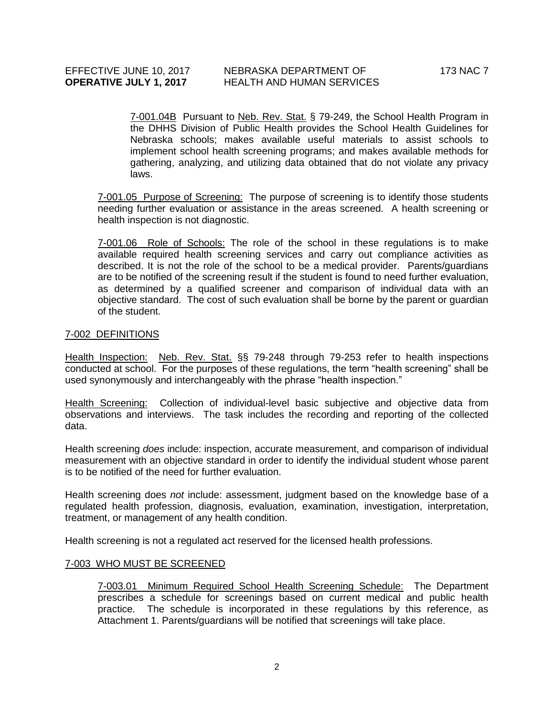7-001.04B Pursuant to Neb. Rev. Stat. § 79-249, the School Health Program in the DHHS Division of Public Health provides the School Health Guidelines for Nebraska schools; makes available useful materials to assist schools to implement school health screening programs; and makes available methods for gathering, analyzing, and utilizing data obtained that do not violate any privacy laws.

7-001.05 Purpose of Screening: The purpose of screening is to identify those students needing further evaluation or assistance in the areas screened. A health screening or health inspection is not diagnostic.

7-001.06 Role of Schools: The role of the school in these regulations is to make available required health screening services and carry out compliance activities as described. It is not the role of the school to be a medical provider. Parents/guardians are to be notified of the screening result if the student is found to need further evaluation, as determined by a qualified screener and comparison of individual data with an objective standard. The cost of such evaluation shall be borne by the parent or guardian of the student.

### 7-002 DEFINITIONS

Health Inspection: Neb. Rev. Stat. §§ 79-248 through 79-253 refer to health inspections conducted at school. For the purposes of these regulations, the term "health screening" shall be used synonymously and interchangeably with the phrase "health inspection."

Health Screening: Collection of individual-level basic subjective and objective data from observations and interviews. The task includes the recording and reporting of the collected data.

Health screening *does* include: inspection, accurate measurement, and comparison of individual measurement with an objective standard in order to identify the individual student whose parent is to be notified of the need for further evaluation.

Health screening does *not* include: assessment, judgment based on the knowledge base of a regulated health profession, diagnosis, evaluation, examination, investigation, interpretation, treatment, or management of any health condition.

Health screening is not a regulated act reserved for the licensed health professions.

### 7-003 WHO MUST BE SCREENED

7-003.01 Minimum Required School Health Screening Schedule: The Department prescribes a schedule for screenings based on current medical and public health practice. The schedule is incorporated in these regulations by this reference, as Attachment 1. Parents/guardians will be notified that screenings will take place.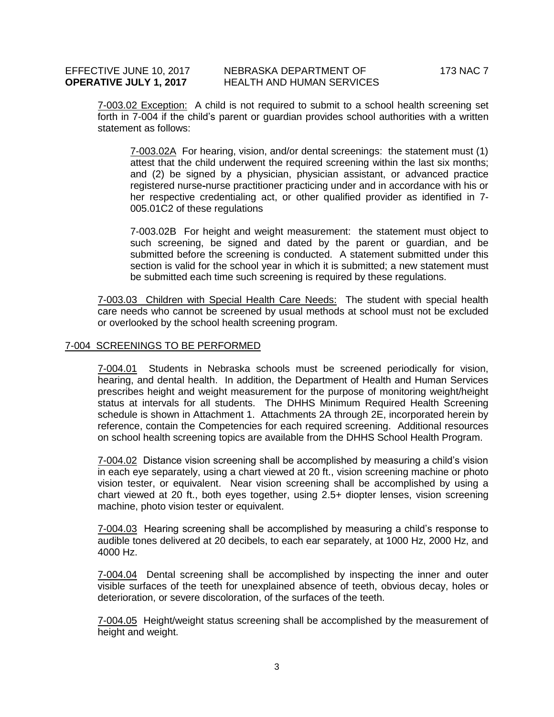7-003.02 Exception: A child is not required to submit to a school health screening set forth in 7-004 if the child's parent or guardian provides school authorities with a written statement as follows:

7-003.02A For hearing, vision, and/or dental screenings: the statement must (1) attest that the child underwent the required screening within the last six months; and (2) be signed by a physician, physician assistant, or advanced practice registered nurse-nurse practitioner practicing under and in accordance with his or her respective credentialing act, or other qualified provider as identified in 7- 005.01C2 of these regulations

7-003.02B For height and weight measurement: the statement must object to such screening, be signed and dated by the parent or guardian, and be submitted before the screening is conducted. A statement submitted under this section is valid for the school year in which it is submitted; a new statement must be submitted each time such screening is required by these regulations.

7-003.03 Children with Special Health Care Needs: The student with special health care needs who cannot be screened by usual methods at school must not be excluded or overlooked by the school health screening program.

#### 7-004 SCREENINGS TO BE PERFORMED

7-004.01 Students in Nebraska schools must be screened periodically for vision, hearing, and dental health. In addition, the Department of Health and Human Services prescribes height and weight measurement for the purpose of monitoring weight/height status at intervals for all students. The DHHS Minimum Required Health Screening schedule is shown in Attachment 1. Attachments 2A through 2E, incorporated herein by reference, contain the Competencies for each required screening. Additional resources on school health screening topics are available from the DHHS School Health Program.

7-004.02 Distance vision screening shall be accomplished by measuring a child's vision in each eye separately, using a chart viewed at 20 ft., vision screening machine or photo vision tester, or equivalent. Near vision screening shall be accomplished by using a chart viewed at 20 ft., both eyes together, using 2.5+ diopter lenses, vision screening machine, photo vision tester or equivalent.

7-004.03 Hearing screening shall be accomplished by measuring a child's response to audible tones delivered at 20 decibels, to each ear separately, at 1000 Hz, 2000 Hz, and 4000 Hz.

7-004.04 Dental screening shall be accomplished by inspecting the inner and outer visible surfaces of the teeth for unexplained absence of teeth, obvious decay, holes or deterioration, or severe discoloration, of the surfaces of the teeth.

7-004.05 Height/weight status screening shall be accomplished by the measurement of height and weight.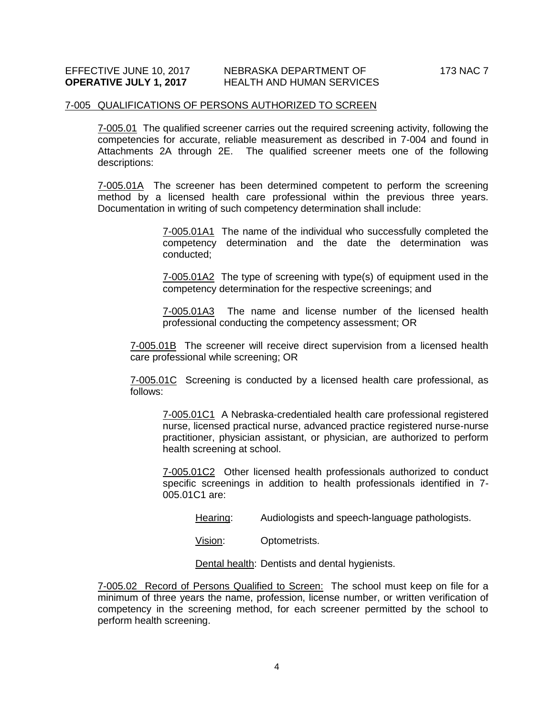#### 7-005 QUALIFICATIONS OF PERSONS AUTHORIZED TO SCREEN

7-005.01 The qualified screener carries out the required screening activity, following the competencies for accurate, reliable measurement as described in 7-004 and found in Attachments 2A through 2E. The qualified screener meets one of the following descriptions:

7-005.01A The screener has been determined competent to perform the screening method by a licensed health care professional within the previous three years. Documentation in writing of such competency determination shall include:

> 7-005.01A1 The name of the individual who successfully completed the competency determination and the date the determination was conducted;

> 7-005.01A2 The type of screening with type(s) of equipment used in the competency determination for the respective screenings; and

> 7-005.01A3 The name and license number of the licensed health professional conducting the competency assessment; OR

7-005.01B The screener will receive direct supervision from a licensed health care professional while screening; OR

7-005.01C Screening is conducted by a licensed health care professional, as follows:

7-005.01C1 A Nebraska-credentialed health care professional registered nurse, licensed practical nurse, advanced practice registered nurse-nurse practitioner, physician assistant, or physician, are authorized to perform health screening at school.

7-005.01C2 Other licensed health professionals authorized to conduct specific screenings in addition to health professionals identified in 7- 005.01C1 are:

Hearing: Audiologists and speech-language pathologists.

Vision: Optometrists.

Dental health: Dentists and dental hygienists.

7-005.02 Record of Persons Qualified to Screen: The school must keep on file for a minimum of three years the name, profession, license number, or written verification of competency in the screening method, for each screener permitted by the school to perform health screening.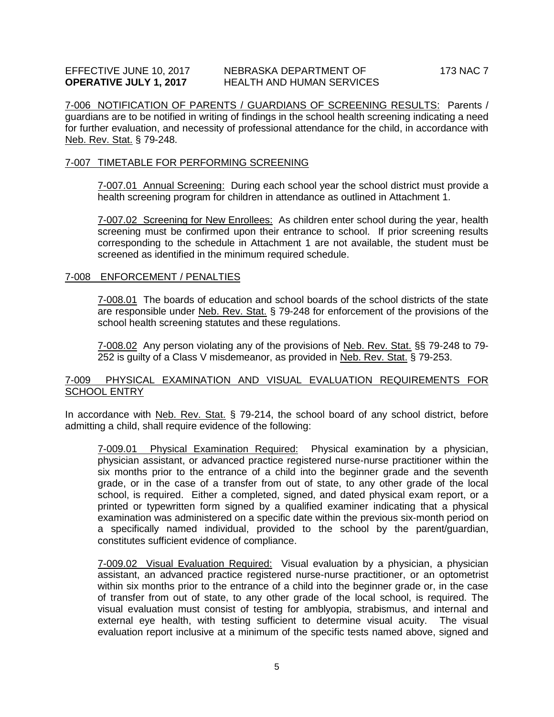7-006 NOTIFICATION OF PARENTS / GUARDIANS OF SCREENING RESULTS: Parents / guardians are to be notified in writing of findings in the school health screening indicating a need for further evaluation, and necessity of professional attendance for the child, in accordance with Neb. Rev. Stat. § 79-248.

#### 7-007 TIMETABLE FOR PERFORMING SCREENING

7-007.01 Annual Screening: During each school year the school district must provide a health screening program for children in attendance as outlined in Attachment 1.

7-007.02 Screening for New Enrollees: As children enter school during the year, health screening must be confirmed upon their entrance to school. If prior screening results corresponding to the schedule in Attachment 1 are not available, the student must be screened as identified in the minimum required schedule.

#### 7-008 ENFORCEMENT / PENALTIES

7-008.01 The boards of education and school boards of the school districts of the state are responsible under Neb. Rev. Stat. § 79-248 for enforcement of the provisions of the school health screening statutes and these regulations.

7-008.02 Any person violating any of the provisions of Neb. Rev. Stat. §§ 79-248 to 79- 252 is guilty of a Class V misdemeanor, as provided in Neb. Rev. Stat. § 79-253.

### 7-009 PHYSICAL EXAMINATION AND VISUAL EVALUATION REQUIREMENTS FOR SCHOOL ENTRY

In accordance with Neb. Rev. Stat. § 79-214, the school board of any school district, before admitting a child, shall require evidence of the following:

7-009.01 Physical Examination Required: Physical examination by a physician, physician assistant, or advanced practice registered nurse-nurse practitioner within the six months prior to the entrance of a child into the beginner grade and the seventh grade, or in the case of a transfer from out of state, to any other grade of the local school, is required. Either a completed, signed, and dated physical exam report, or a printed or typewritten form signed by a qualified examiner indicating that a physical examination was administered on a specific date within the previous six-month period on a specifically named individual, provided to the school by the parent/guardian, constitutes sufficient evidence of compliance.

7-009.02 Visual Evaluation Required: Visual evaluation by a physician, a physician assistant, an advanced practice registered nurse-nurse practitioner, or an optometrist within six months prior to the entrance of a child into the beginner grade or, in the case of transfer from out of state, to any other grade of the local school, is required. The visual evaluation must consist of testing for amblyopia, strabismus, and internal and external eye health, with testing sufficient to determine visual acuity. The visual evaluation report inclusive at a minimum of the specific tests named above, signed and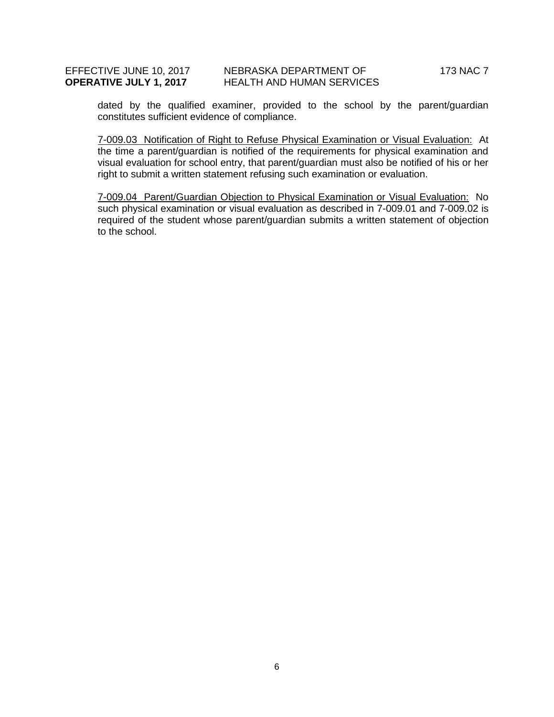### EFFECTIVE JUNE 10, 2017 NEBRASKA DEPARTMENT OF 173 NAC 7 **OPERATIVE JULY 1, 2017** HEALTH AND HUMAN SERVICES

dated by the qualified examiner, provided to the school by the parent/guardian constitutes sufficient evidence of compliance.

7-009.03 Notification of Right to Refuse Physical Examination or Visual Evaluation: At the time a parent/guardian is notified of the requirements for physical examination and visual evaluation for school entry, that parent/guardian must also be notified of his or her right to submit a written statement refusing such examination or evaluation.

7-009.04 Parent/Guardian Objection to Physical Examination or Visual Evaluation: No such physical examination or visual evaluation as described in 7-009.01 and 7-009.02 is required of the student whose parent/guardian submits a written statement of objection to the school.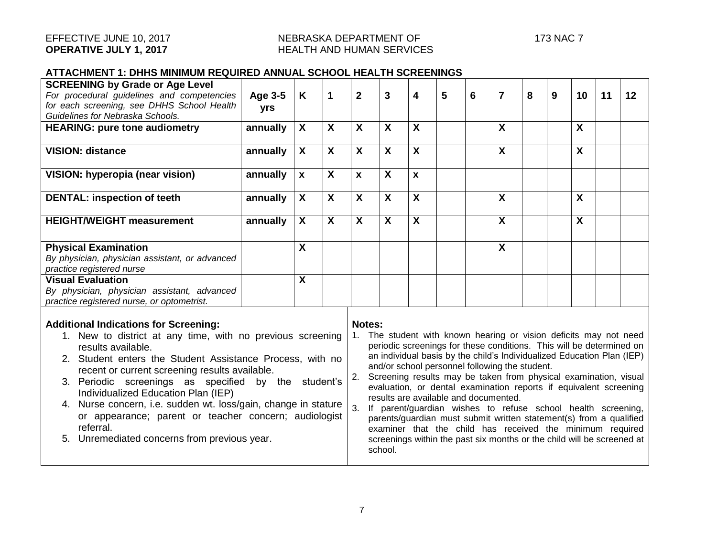### **ATTACHMENT 1: DHHS MINIMUM REQUIRED ANNUAL SCHOOL HEALTH SCREENINGS**

| <b>SCREENING by Grade or Age Level</b><br>For procedural guidelines and competencies<br>for each screening, see DHHS School Health<br>Guidelines for Nebraska Schools.                                                                                                                                                                                                                                                                                                                                                                                                                                                                                                                                                                                                                                                                                                                                                                                                                                                                                                                                                                                                                                                                                                                                       | Age 3-5<br>yrs | K                         | $\mathbf 1$               | $\overline{2}$            | 3                         | 4                         | 5 | 6 | $\overline{7}$            | 8 | 9 | 10           | 11 | 12 |
|--------------------------------------------------------------------------------------------------------------------------------------------------------------------------------------------------------------------------------------------------------------------------------------------------------------------------------------------------------------------------------------------------------------------------------------------------------------------------------------------------------------------------------------------------------------------------------------------------------------------------------------------------------------------------------------------------------------------------------------------------------------------------------------------------------------------------------------------------------------------------------------------------------------------------------------------------------------------------------------------------------------------------------------------------------------------------------------------------------------------------------------------------------------------------------------------------------------------------------------------------------------------------------------------------------------|----------------|---------------------------|---------------------------|---------------------------|---------------------------|---------------------------|---|---|---------------------------|---|---|--------------|----|----|
| <b>HEARING: pure tone audiometry</b>                                                                                                                                                                                                                                                                                                                                                                                                                                                                                                                                                                                                                                                                                                                                                                                                                                                                                                                                                                                                                                                                                                                                                                                                                                                                         | annually       | $\mathbf{x}$              | $\boldsymbol{\mathsf{X}}$ | X                         | $\boldsymbol{\mathsf{X}}$ | X                         |   |   | $\boldsymbol{\mathsf{X}}$ |   |   | $\mathsf{X}$ |    |    |
|                                                                                                                                                                                                                                                                                                                                                                                                                                                                                                                                                                                                                                                                                                                                                                                                                                                                                                                                                                                                                                                                                                                                                                                                                                                                                                              |                |                           |                           |                           |                           |                           |   |   |                           |   |   |              |    |    |
| <b>VISION: distance</b>                                                                                                                                                                                                                                                                                                                                                                                                                                                                                                                                                                                                                                                                                                                                                                                                                                                                                                                                                                                                                                                                                                                                                                                                                                                                                      | annually       | $\mathbf{X}$              | $\mathbf{X}$              | $\mathbf{X}$              | $\mathbf{X}$              | $\mathbf{X}$              |   |   | $\boldsymbol{X}$          |   |   | X            |    |    |
| VISION: hyperopia (near vision)                                                                                                                                                                                                                                                                                                                                                                                                                                                                                                                                                                                                                                                                                                                                                                                                                                                                                                                                                                                                                                                                                                                                                                                                                                                                              | annually       | $\mathbf{x}$              | $\boldsymbol{\mathsf{X}}$ | $\mathbf{x}$              | X                         | $\mathbf{x}$              |   |   |                           |   |   |              |    |    |
| <b>DENTAL: inspection of teeth</b>                                                                                                                                                                                                                                                                                                                                                                                                                                                                                                                                                                                                                                                                                                                                                                                                                                                                                                                                                                                                                                                                                                                                                                                                                                                                           | annually       | $\boldsymbol{X}$          | $\mathbf{x}$              | $\mathbf{x}$              | $\mathbf{x}$              | $\overline{\mathbf{X}}$   |   |   | $\boldsymbol{\mathsf{X}}$ |   |   | $\mathbf{x}$ |    |    |
| <b>HEIGHT/WEIGHT measurement</b>                                                                                                                                                                                                                                                                                                                                                                                                                                                                                                                                                                                                                                                                                                                                                                                                                                                                                                                                                                                                                                                                                                                                                                                                                                                                             | annually       | $\mathsf{X}$              | $\boldsymbol{\mathsf{X}}$ | $\boldsymbol{\mathsf{X}}$ | $\boldsymbol{\mathsf{X}}$ | $\boldsymbol{\mathsf{X}}$ |   |   | $\boldsymbol{\mathsf{X}}$ |   |   | X            |    |    |
| <b>Physical Examination</b><br>By physician, physician assistant, or advanced                                                                                                                                                                                                                                                                                                                                                                                                                                                                                                                                                                                                                                                                                                                                                                                                                                                                                                                                                                                                                                                                                                                                                                                                                                |                | $\boldsymbol{\mathsf{X}}$ |                           |                           |                           |                           |   |   | $\boldsymbol{\mathsf{X}}$ |   |   |              |    |    |
| practice registered nurse                                                                                                                                                                                                                                                                                                                                                                                                                                                                                                                                                                                                                                                                                                                                                                                                                                                                                                                                                                                                                                                                                                                                                                                                                                                                                    |                |                           |                           |                           |                           |                           |   |   |                           |   |   |              |    |    |
| <b>Visual Evaluation</b>                                                                                                                                                                                                                                                                                                                                                                                                                                                                                                                                                                                                                                                                                                                                                                                                                                                                                                                                                                                                                                                                                                                                                                                                                                                                                     |                | $\boldsymbol{\mathsf{X}}$ |                           |                           |                           |                           |   |   |                           |   |   |              |    |    |
| By physician, physician assistant, advanced<br>practice registered nurse, or optometrist.                                                                                                                                                                                                                                                                                                                                                                                                                                                                                                                                                                                                                                                                                                                                                                                                                                                                                                                                                                                                                                                                                                                                                                                                                    |                |                           |                           |                           |                           |                           |   |   |                           |   |   |              |    |    |
| <b>Additional Indications for Screening:</b><br>Notes:<br>The student with known hearing or vision deficits may not need<br>1. New to district at any time, with no previous screening<br>periodic screenings for these conditions. This will be determined on<br>results available.<br>an individual basis by the child's Individualized Education Plan (IEP)<br>2. Student enters the Student Assistance Process, with no<br>and/or school personnel following the student.<br>recent or current screening results available.<br>Screening results may be taken from physical examination, visual<br>2.<br>3. Periodic screenings as specified by the student's<br>evaluation, or dental examination reports if equivalent screening<br>Individualized Education Plan (IEP)<br>results are available and documented.<br>4. Nurse concern, i.e. sudden wt. loss/gain, change in stature<br>3.<br>If parent/guardian wishes to refuse school health screening,<br>or appearance; parent or teacher concern; audiologist<br>parents/guardian must submit written statement(s) from a qualified<br>referral.<br>examiner that the child has received the minimum required<br>5. Unremediated concerns from previous year.<br>screenings within the past six months or the child will be screened at<br>school. |                |                           |                           |                           |                           |                           |   |   |                           |   |   |              |    |    |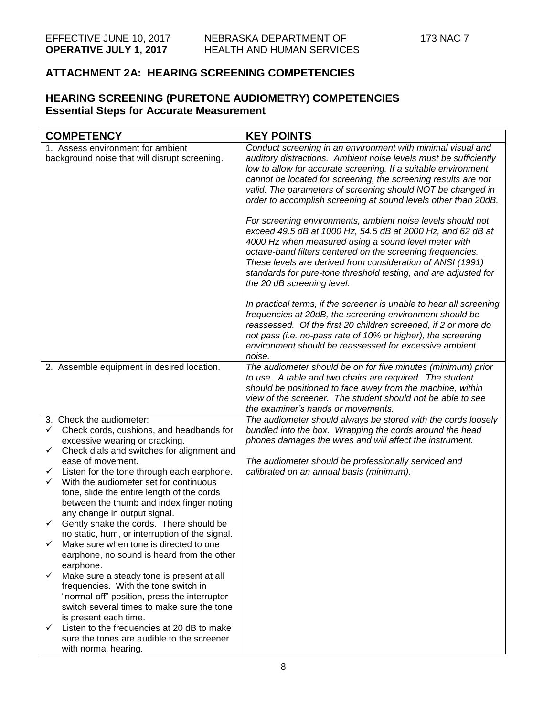## **ATTACHMENT 2A: HEARING SCREENING COMPETENCIES**

## **HEARING SCREENING (PURETONE AUDIOMETRY) COMPETENCIES Essential Steps for Accurate Measurement**

| <b>COMPETENCY</b>                                                                                                                                                                                                                                                                                                                                                                                                                                                                                                                                                                                                                                                                                                                                                                                                                                                                                                                                                      | <b>KEY POINTS</b>                                                                                                                                                                                                                                                                                                                                                                                                                                                                                                                                                                                                                                                                                                                                                                                                                                                                                                                                                                                                                                                                                                                                      |
|------------------------------------------------------------------------------------------------------------------------------------------------------------------------------------------------------------------------------------------------------------------------------------------------------------------------------------------------------------------------------------------------------------------------------------------------------------------------------------------------------------------------------------------------------------------------------------------------------------------------------------------------------------------------------------------------------------------------------------------------------------------------------------------------------------------------------------------------------------------------------------------------------------------------------------------------------------------------|--------------------------------------------------------------------------------------------------------------------------------------------------------------------------------------------------------------------------------------------------------------------------------------------------------------------------------------------------------------------------------------------------------------------------------------------------------------------------------------------------------------------------------------------------------------------------------------------------------------------------------------------------------------------------------------------------------------------------------------------------------------------------------------------------------------------------------------------------------------------------------------------------------------------------------------------------------------------------------------------------------------------------------------------------------------------------------------------------------------------------------------------------------|
| 1. Assess environment for ambient<br>background noise that will disrupt screening.                                                                                                                                                                                                                                                                                                                                                                                                                                                                                                                                                                                                                                                                                                                                                                                                                                                                                     | Conduct screening in an environment with minimal visual and<br>auditory distractions. Ambient noise levels must be sufficiently<br>low to allow for accurate screening. If a suitable environment<br>cannot be located for screening, the screening results are not<br>valid. The parameters of screening should NOT be changed in<br>order to accomplish screening at sound levels other than 20dB.<br>For screening environments, ambient noise levels should not<br>exceed 49.5 dB at 1000 Hz, 54.5 dB at 2000 Hz, and 62 dB at<br>4000 Hz when measured using a sound level meter with<br>octave-band filters centered on the screening frequencies.<br>These levels are derived from consideration of ANSI (1991)<br>standards for pure-tone threshold testing, and are adjusted for<br>the 20 dB screening level.<br>In practical terms, if the screener is unable to hear all screening<br>frequencies at 20dB, the screening environment should be<br>reassessed. Of the first 20 children screened, if 2 or more do<br>not pass (i.e. no-pass rate of 10% or higher), the screening<br>environment should be reassessed for excessive ambient |
| 2. Assemble equipment in desired location.                                                                                                                                                                                                                                                                                                                                                                                                                                                                                                                                                                                                                                                                                                                                                                                                                                                                                                                             | noise.<br>The audiometer should be on for five minutes (minimum) prior<br>to use. A table and two chairs are required. The student<br>should be positioned to face away from the machine, within<br>view of the screener. The student should not be able to see<br>the examiner's hands or movements.                                                                                                                                                                                                                                                                                                                                                                                                                                                                                                                                                                                                                                                                                                                                                                                                                                                  |
| 3. Check the audiometer:<br>Check cords, cushions, and headbands for<br>✓<br>excessive wearing or cracking.<br>Check dials and switches for alignment and<br>✓<br>ease of movement.<br>Listen for the tone through each earphone.<br>✓<br>With the audiometer set for continuous<br>✓<br>tone, slide the entire length of the cords<br>between the thumb and index finger noting<br>any change in output signal.<br>Gently shake the cords. There should be<br>✓<br>no static, hum, or interruption of the signal.<br>✓<br>Make sure when tone is directed to one<br>earphone, no sound is heard from the other<br>earphone.<br>Make sure a steady tone is present at all<br>✓<br>frequencies. With the tone switch in<br>"normal-off" position, press the interrupter<br>switch several times to make sure the tone<br>is present each time.<br>Listen to the frequencies at 20 dB to make<br>✓<br>sure the tones are audible to the screener<br>with normal hearing. | The audiometer should always be stored with the cords loosely<br>bundled into the box. Wrapping the cords around the head<br>phones damages the wires and will affect the instrument.<br>The audiometer should be professionally serviced and<br>calibrated on an annual basis (minimum).                                                                                                                                                                                                                                                                                                                                                                                                                                                                                                                                                                                                                                                                                                                                                                                                                                                              |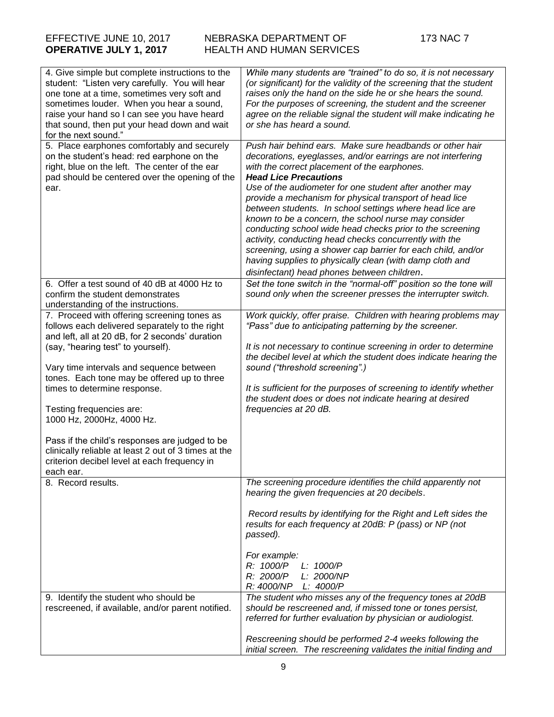| 4. Give simple but complete instructions to the<br>student: "Listen very carefully. You will hear<br>one tone at a time, sometimes very soft and<br>sometimes louder. When you hear a sound,<br>raise your hand so I can see you have heard<br>that sound, then put your head down and wait<br>for the next sound." | While many students are "trained" to do so, it is not necessary<br>(or significant) for the validity of the screening that the student<br>raises only the hand on the side he or she hears the sound.<br>For the purposes of screening, the student and the screener<br>agree on the reliable signal the student will make indicating he<br>or she has heard a sound.                                                                                                                                                                                                                                                                                                                                                                                |
|---------------------------------------------------------------------------------------------------------------------------------------------------------------------------------------------------------------------------------------------------------------------------------------------------------------------|------------------------------------------------------------------------------------------------------------------------------------------------------------------------------------------------------------------------------------------------------------------------------------------------------------------------------------------------------------------------------------------------------------------------------------------------------------------------------------------------------------------------------------------------------------------------------------------------------------------------------------------------------------------------------------------------------------------------------------------------------|
| 5. Place earphones comfortably and securely<br>on the student's head: red earphone on the<br>right, blue on the left. The center of the ear<br>pad should be centered over the opening of the<br>ear.                                                                                                               | Push hair behind ears. Make sure headbands or other hair<br>decorations, eyeglasses, and/or earrings are not interfering<br>with the correct placement of the earphones.<br><b>Head Lice Precautions</b><br>Use of the audiometer for one student after another may<br>provide a mechanism for physical transport of head lice<br>between students. In school settings where head lice are<br>known to be a concern, the school nurse may consider<br>conducting school wide head checks prior to the screening<br>activity, conducting head checks concurrently with the<br>screening, using a shower cap barrier for each child, and/or<br>having supplies to physically clean (with damp cloth and<br>disinfectant) head phones between children. |
| 6. Offer a test sound of 40 dB at 4000 Hz to                                                                                                                                                                                                                                                                        | Set the tone switch in the "normal-off" position so the tone will                                                                                                                                                                                                                                                                                                                                                                                                                                                                                                                                                                                                                                                                                    |
| confirm the student demonstrates                                                                                                                                                                                                                                                                                    | sound only when the screener presses the interrupter switch.                                                                                                                                                                                                                                                                                                                                                                                                                                                                                                                                                                                                                                                                                         |
| understanding of the instructions.                                                                                                                                                                                                                                                                                  |                                                                                                                                                                                                                                                                                                                                                                                                                                                                                                                                                                                                                                                                                                                                                      |
| 7. Proceed with offering screening tones as<br>follows each delivered separately to the right<br>and left, all at 20 dB, for 2 seconds' duration<br>(say, "hearing test" to yourself).                                                                                                                              | Work quickly, offer praise. Children with hearing problems may<br>"Pass" due to anticipating patterning by the screener.<br>It is not necessary to continue screening in order to determine                                                                                                                                                                                                                                                                                                                                                                                                                                                                                                                                                          |
|                                                                                                                                                                                                                                                                                                                     | the decibel level at which the student does indicate hearing the                                                                                                                                                                                                                                                                                                                                                                                                                                                                                                                                                                                                                                                                                     |
| Vary time intervals and sequence between                                                                                                                                                                                                                                                                            | sound ("threshold screening".)                                                                                                                                                                                                                                                                                                                                                                                                                                                                                                                                                                                                                                                                                                                       |
| tones. Each tone may be offered up to three                                                                                                                                                                                                                                                                         |                                                                                                                                                                                                                                                                                                                                                                                                                                                                                                                                                                                                                                                                                                                                                      |
| times to determine response.<br>Testing frequencies are:<br>1000 Hz, 2000Hz, 4000 Hz.                                                                                                                                                                                                                               | It is sufficient for the purposes of screening to identify whether<br>the student does or does not indicate hearing at desired<br>frequencies at 20 dB.                                                                                                                                                                                                                                                                                                                                                                                                                                                                                                                                                                                              |
| Pass if the child's responses are judged to be<br>clinically reliable at least 2 out of 3 times at the<br>criterion decibel level at each frequency in                                                                                                                                                              |                                                                                                                                                                                                                                                                                                                                                                                                                                                                                                                                                                                                                                                                                                                                                      |
| each ear.                                                                                                                                                                                                                                                                                                           |                                                                                                                                                                                                                                                                                                                                                                                                                                                                                                                                                                                                                                                                                                                                                      |
| 8. Record results.                                                                                                                                                                                                                                                                                                  | The screening procedure identifies the child apparently not<br>hearing the given frequencies at 20 decibels.<br>Record results by identifying for the Right and Left sides the<br>results for each frequency at 20dB: P (pass) or NP (not<br>passed).                                                                                                                                                                                                                                                                                                                                                                                                                                                                                                |
|                                                                                                                                                                                                                                                                                                                     | For example:<br>R: 1000/P<br>L: 1000/P<br>R: 2000/P<br>L: 2000/NP<br>R: 4000/NP<br>L: 4000/P                                                                                                                                                                                                                                                                                                                                                                                                                                                                                                                                                                                                                                                         |
| 9. Identify the student who should be<br>rescreened, if available, and/or parent notified.                                                                                                                                                                                                                          | The student who misses any of the frequency tones at 20dB<br>should be rescreened and, if missed tone or tones persist,<br>referred for further evaluation by physician or audiologist.                                                                                                                                                                                                                                                                                                                                                                                                                                                                                                                                                              |
|                                                                                                                                                                                                                                                                                                                     | Rescreening should be performed 2-4 weeks following the<br>initial screen. The rescreening validates the initial finding and                                                                                                                                                                                                                                                                                                                                                                                                                                                                                                                                                                                                                         |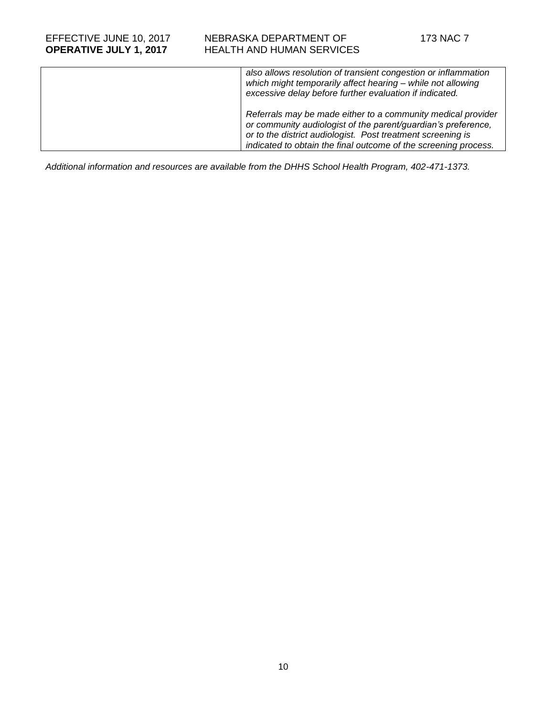| also allows resolution of transient congestion or inflammation<br>which might temporarily affect hearing - while not allowing<br>excessive delay before further evaluation if indicated.                                                                        |
|-----------------------------------------------------------------------------------------------------------------------------------------------------------------------------------------------------------------------------------------------------------------|
| Referrals may be made either to a community medical provider<br>or community audiologist of the parent/guardian's preference,<br>or to the district audiologist. Post treatment screening is<br>indicated to obtain the final outcome of the screening process. |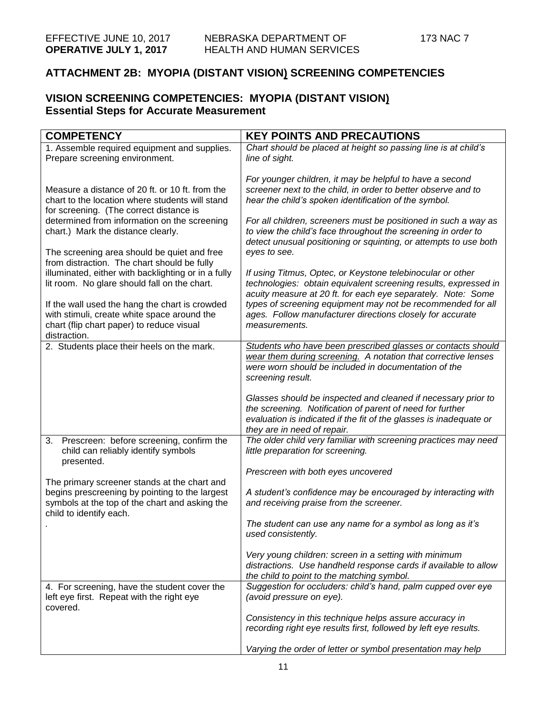# **ATTACHMENT 2B: MYOPIA (DISTANT VISION) SCREENING COMPETENCIES**

## **VISION SCREENING COMPETENCIES: MYOPIA (DISTANT VISION) Essential Steps for Accurate Measurement**

| <b>COMPETENCY</b>                                                                                                                                          | <b>KEY POINTS AND PRECAUTIONS</b>                                                                                                                                                                                               |
|------------------------------------------------------------------------------------------------------------------------------------------------------------|---------------------------------------------------------------------------------------------------------------------------------------------------------------------------------------------------------------------------------|
| 1. Assemble required equipment and supplies.<br>Prepare screening environment.                                                                             | Chart should be placed at height so passing line is at child's<br>line of sight.                                                                                                                                                |
| Measure a distance of 20 ft. or 10 ft. from the<br>chart to the location where students will stand<br>for screening. (The correct distance is              | For younger children, it may be helpful to have a second<br>screener next to the child, in order to better observe and to<br>hear the child's spoken identification of the symbol.                                              |
| determined from information on the screening<br>chart.) Mark the distance clearly.                                                                         | For all children, screeners must be positioned in such a way as<br>to view the child's face throughout the screening in order to<br>detect unusual positioning or squinting, or attempts to use both<br>eyes to see.            |
| The screening area should be quiet and free<br>from distraction. The chart should be fully                                                                 |                                                                                                                                                                                                                                 |
| illuminated, either with backlighting or in a fully<br>lit room. No glare should fall on the chart.                                                        | If using Titmus, Optec, or Keystone telebinocular or other<br>technologies: obtain equivalent screening results, expressed in<br>acuity measure at 20 ft. for each eye separately. Note: Some                                   |
| If the wall used the hang the chart is crowded<br>with stimuli, create white space around the<br>chart (flip chart paper) to reduce visual<br>distraction. | types of screening equipment may not be recommended for all<br>ages. Follow manufacturer directions closely for accurate<br>measurements.                                                                                       |
| 2. Students place their heels on the mark.                                                                                                                 | Students who have been prescribed glasses or contacts should<br>wear them during screening. A notation that corrective lenses<br>were worn should be included in documentation of the<br>screening result.                      |
|                                                                                                                                                            | Glasses should be inspected and cleaned if necessary prior to<br>the screening. Notification of parent of need for further<br>evaluation is indicated if the fit of the glasses is inadequate or<br>they are in need of repair. |
| 3. Prescreen: before screening, confirm the<br>child can reliably identify symbols<br>presented.                                                           | The older child very familiar with screening practices may need<br>little preparation for screening.                                                                                                                            |
| The primary screener stands at the chart and                                                                                                               | Prescreen with both eyes uncovered                                                                                                                                                                                              |
| begins prescreening by pointing to the largest<br>symbols at the top of the chart and asking the<br>child to identify each.                                | A student's confidence may be encouraged by interacting with<br>and receiving praise from the screener.                                                                                                                         |
|                                                                                                                                                            | The student can use any name for a symbol as long as it's<br>used consistently.                                                                                                                                                 |
|                                                                                                                                                            | Very young children: screen in a setting with minimum<br>distractions. Use handheld response cards if available to allow<br>the child to point to the matching symbol.                                                          |
| 4. For screening, have the student cover the<br>left eye first. Repeat with the right eye<br>covered.                                                      | Suggestion for occluders: child's hand, palm cupped over eye<br>(avoid pressure on eye).                                                                                                                                        |
|                                                                                                                                                            | Consistency in this technique helps assure accuracy in<br>recording right eye results first, followed by left eye results.                                                                                                      |
|                                                                                                                                                            | Varying the order of letter or symbol presentation may help                                                                                                                                                                     |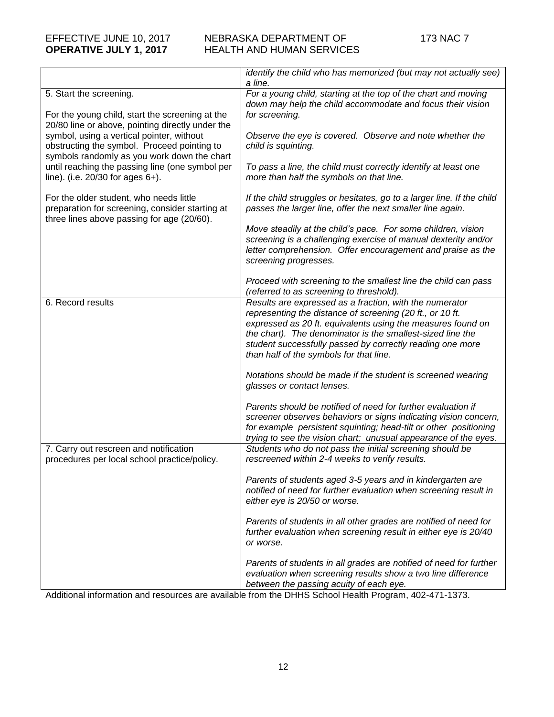### EFFECTIVE JUNE 10, 2017 NEBRASKA DEPARTMENT OF 173 NAC 7 **OPERATIVE JULY 1, 2017** HEALTH AND HUMAN SERVICES

|                                                                                                                                         | identify the child who has memorized (but may not actually see)<br>a line.                                                   |
|-----------------------------------------------------------------------------------------------------------------------------------------|------------------------------------------------------------------------------------------------------------------------------|
| 5. Start the screening.                                                                                                                 | For a young child, starting at the top of the chart and moving<br>down may help the child accommodate and focus their vision |
| For the young child, start the screening at the                                                                                         | for screening.                                                                                                               |
| 20/80 line or above, pointing directly under the                                                                                        |                                                                                                                              |
| symbol, using a vertical pointer, without<br>obstructing the symbol. Proceed pointing to<br>symbols randomly as you work down the chart | Observe the eye is covered. Observe and note whether the<br>child is squinting.                                              |
| until reaching the passing line (one symbol per                                                                                         | To pass a line, the child must correctly identify at least one                                                               |
| line). (i.e. 20/30 for ages 6+).                                                                                                        | more than half the symbols on that line.                                                                                     |
| For the older student, who needs little                                                                                                 | If the child struggles or hesitates, go to a larger line. If the child                                                       |
| preparation for screening, consider starting at<br>three lines above passing for age (20/60).                                           | passes the larger line, offer the next smaller line again.                                                                   |
|                                                                                                                                         | Move steadily at the child's pace. For some children, vision                                                                 |
|                                                                                                                                         | screening is a challenging exercise of manual dexterity and/or                                                               |
|                                                                                                                                         | letter comprehension. Offer encouragement and praise as the<br>screening progresses.                                         |
|                                                                                                                                         |                                                                                                                              |
|                                                                                                                                         | Proceed with screening to the smallest line the child can pass<br>(referred to as screening to threshold).                   |
| 6. Record results                                                                                                                       | Results are expressed as a fraction, with the numerator                                                                      |
|                                                                                                                                         | representing the distance of screening (20 ft., or 10 ft.                                                                    |
|                                                                                                                                         | expressed as 20 ft. equivalents using the measures found on                                                                  |
|                                                                                                                                         | the chart). The denominator is the smallest-sized line the                                                                   |
|                                                                                                                                         | student successfully passed by correctly reading one more                                                                    |
|                                                                                                                                         | than half of the symbols for that line.                                                                                      |
|                                                                                                                                         | Notations should be made if the student is screened wearing                                                                  |
|                                                                                                                                         | glasses or contact lenses.                                                                                                   |
|                                                                                                                                         | Parents should be notified of need for further evaluation if                                                                 |
|                                                                                                                                         | screener observes behaviors or signs indicating vision concern,                                                              |
|                                                                                                                                         | for example persistent squinting; head-tilt or other positioning                                                             |
|                                                                                                                                         | trying to see the vision chart; unusual appearance of the eyes.                                                              |
| 7. Carry out rescreen and notification<br>procedures per local school practice/policy.                                                  | Students who do not pass the initial screening should be<br>rescreened within 2-4 weeks to verify results.                   |
|                                                                                                                                         | Parents of students aged 3-5 years and in kindergarten are                                                                   |
|                                                                                                                                         | notified of need for further evaluation when screening result in                                                             |
|                                                                                                                                         | either eye is 20/50 or worse.                                                                                                |
|                                                                                                                                         | Parents of students in all other grades are notified of need for                                                             |
|                                                                                                                                         | further evaluation when screening result in either eye is 20/40                                                              |
|                                                                                                                                         | or worse.                                                                                                                    |
|                                                                                                                                         | Parents of students in all grades are notified of need for further                                                           |
|                                                                                                                                         | evaluation when screening results show a two line difference                                                                 |
|                                                                                                                                         | between the passing acuity of each eye.                                                                                      |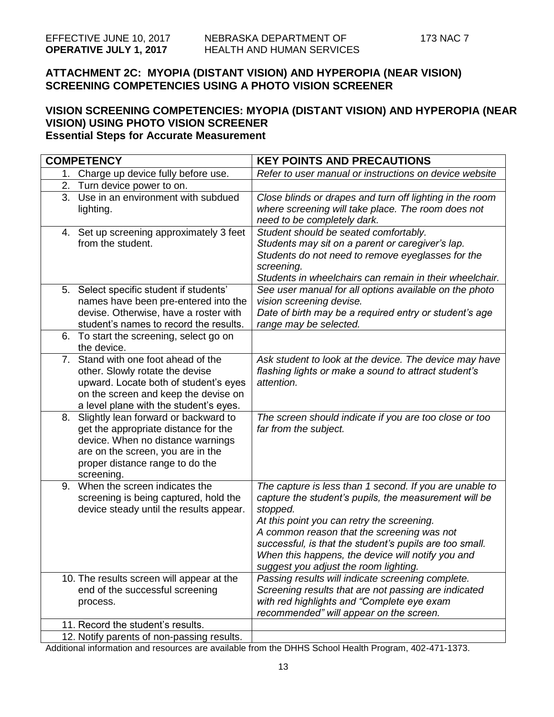## **ATTACHMENT 2C: MYOPIA (DISTANT VISION) AND HYPEROPIA (NEAR VISION) SCREENING COMPETENCIES USING A PHOTO VISION SCREENER**

### **VISION SCREENING COMPETENCIES: MYOPIA (DISTANT VISION) AND HYPEROPIA (NEAR VISION) USING PHOTO VISION SCREENER Essential Steps for Accurate Measurement**

|    | <b>COMPETENCY</b>                                                                                                                                                                                       | <b>KEY POINTS AND PRECAUTIONS</b>                                                                                                                                                                                                                                                                                                                                                 |
|----|---------------------------------------------------------------------------------------------------------------------------------------------------------------------------------------------------------|-----------------------------------------------------------------------------------------------------------------------------------------------------------------------------------------------------------------------------------------------------------------------------------------------------------------------------------------------------------------------------------|
| 1. | Charge up device fully before use.                                                                                                                                                                      | Refer to user manual or instructions on device website                                                                                                                                                                                                                                                                                                                            |
| 2. | Turn device power to on.                                                                                                                                                                                |                                                                                                                                                                                                                                                                                                                                                                                   |
| 3. | Use in an environment with subdued<br>lighting.                                                                                                                                                         | Close blinds or drapes and turn off lighting in the room<br>where screening will take place. The room does not<br>need to be completely dark.                                                                                                                                                                                                                                     |
|    | 4. Set up screening approximately 3 feet<br>from the student.                                                                                                                                           | Student should be seated comfortably.<br>Students may sit on a parent or caregiver's lap.<br>Students do not need to remove eyeglasses for the<br>screening.<br>Students in wheelchairs can remain in their wheelchair.                                                                                                                                                           |
|    | 5. Select specific student if students'<br>names have been pre-entered into the<br>devise. Otherwise, have a roster with<br>student's names to record the results.                                      | See user manual for all options available on the photo<br>vision screening devise.<br>Date of birth may be a required entry or student's age<br>range may be selected.                                                                                                                                                                                                            |
|    | 6. To start the screening, select go on<br>the device.                                                                                                                                                  |                                                                                                                                                                                                                                                                                                                                                                                   |
|    | 7. Stand with one foot ahead of the<br>other. Slowly rotate the devise<br>upward. Locate both of student's eyes<br>on the screen and keep the devise on<br>a level plane with the student's eyes.       | Ask student to look at the device. The device may have<br>flashing lights or make a sound to attract student's<br>attention.                                                                                                                                                                                                                                                      |
| 8. | Slightly lean forward or backward to<br>get the appropriate distance for the<br>device. When no distance warnings<br>are on the screen, you are in the<br>proper distance range to do the<br>screening. | The screen should indicate if you are too close or too<br>far from the subject.                                                                                                                                                                                                                                                                                                   |
|    | 9. When the screen indicates the<br>screening is being captured, hold the<br>device steady until the results appear.                                                                                    | The capture is less than 1 second. If you are unable to<br>capture the student's pupils, the measurement will be<br>stopped.<br>At this point you can retry the screening.<br>A common reason that the screening was not<br>successful, is that the student's pupils are too small.<br>When this happens, the device will notify you and<br>suggest you adjust the room lighting. |
|    | 10. The results screen will appear at the                                                                                                                                                               | Passing results will indicate screening complete.                                                                                                                                                                                                                                                                                                                                 |
|    | end of the successful screening                                                                                                                                                                         | Screening results that are not passing are indicated                                                                                                                                                                                                                                                                                                                              |
|    | process.                                                                                                                                                                                                | with red highlights and "Complete eye exam<br>recommended" will appear on the screen.                                                                                                                                                                                                                                                                                             |
|    | 11. Record the student's results.                                                                                                                                                                       |                                                                                                                                                                                                                                                                                                                                                                                   |
|    | 12. Notify parents of non-passing results.                                                                                                                                                              |                                                                                                                                                                                                                                                                                                                                                                                   |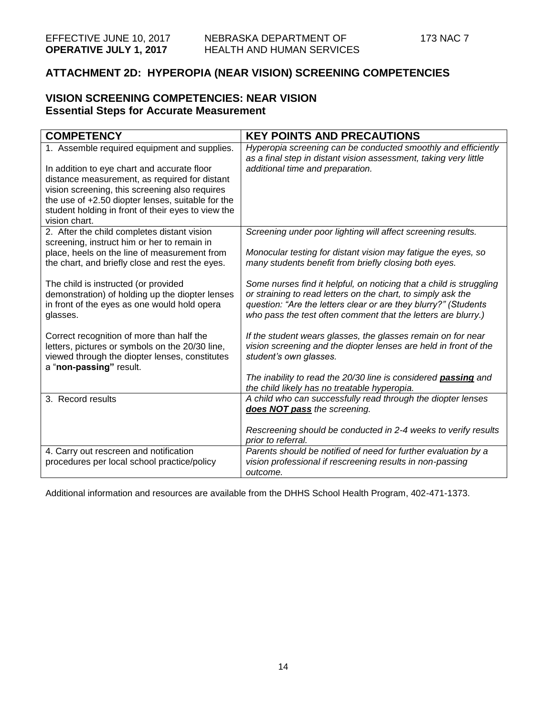## **ATTACHMENT 2D: HYPEROPIA (NEAR VISION) SCREENING COMPETENCIES**

### **VISION SCREENING COMPETENCIES: NEAR VISION Essential Steps for Accurate Measurement**

| <b>COMPETENCY</b>                                                                     | <b>KEY POINTS AND PRECAUTIONS</b>                                   |
|---------------------------------------------------------------------------------------|---------------------------------------------------------------------|
| 1. Assemble required equipment and supplies.                                          | Hyperopia screening can be conducted smoothly and efficiently       |
|                                                                                       | as a final step in distant vision assessment, taking very little    |
| In addition to eye chart and accurate floor                                           | additional time and preparation.                                    |
| distance measurement, as required for distant                                         |                                                                     |
| vision screening, this screening also requires                                        |                                                                     |
| the use of +2.50 diopter lenses, suitable for the                                     |                                                                     |
| student holding in front of their eyes to view the                                    |                                                                     |
| vision chart.                                                                         |                                                                     |
| 2. After the child completes distant vision                                           | Screening under poor lighting will affect screening results.        |
| screening, instruct him or her to remain in                                           |                                                                     |
| place, heels on the line of measurement from                                          | Monocular testing for distant vision may fatigue the eyes, so       |
| the chart, and briefly close and rest the eyes.                                       | many students benefit from briefly closing both eyes.               |
|                                                                                       |                                                                     |
| The child is instructed (or provided                                                  | Some nurses find it helpful, on noticing that a child is struggling |
| demonstration) of holding up the diopter lenses                                       | or straining to read letters on the chart, to simply ask the        |
| in front of the eyes as one would hold opera                                          | question: "Are the letters clear or are they blurry?" (Students     |
| glasses.                                                                              | who pass the test often comment that the letters are blurry.)       |
|                                                                                       |                                                                     |
| Correct recognition of more than half the                                             | If the student wears glasses, the glasses remain on for near        |
| letters, pictures or symbols on the 20/30 line,                                       | vision screening and the diopter lenses are held in front of the    |
| viewed through the diopter lenses, constitutes                                        | student's own glasses.                                              |
| a "non-passing" result.                                                               |                                                                     |
|                                                                                       | The inability to read the 20/30 line is considered passing and      |
|                                                                                       | the child likely has no treatable hyperopia.                        |
| 3. Record results                                                                     | A child who can successfully read through the diopter lenses        |
|                                                                                       | does NOT pass the screening.                                        |
|                                                                                       | Rescreening should be conducted in 2-4 weeks to verify results      |
|                                                                                       | prior to referral.                                                  |
|                                                                                       | Parents should be notified of need for further evaluation by a      |
| 4. Carry out rescreen and notification<br>procedures per local school practice/policy | vision professional if rescreening results in non-passing           |
|                                                                                       |                                                                     |
|                                                                                       | outcome.                                                            |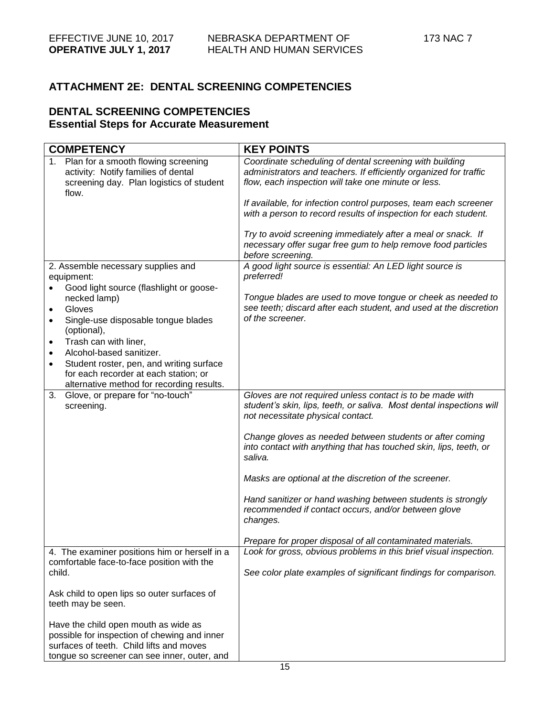# **ATTACHMENT 2E: DENTAL SCREENING COMPETENCIES**

## **DENTAL SCREENING COMPETENCIES Essential Steps for Accurate Measurement**

| <b>COMPETENCY</b>                                                                                                                                                                | <b>KEY POINTS</b>                                                                                                                                 |
|----------------------------------------------------------------------------------------------------------------------------------------------------------------------------------|---------------------------------------------------------------------------------------------------------------------------------------------------|
| 1. Plan for a smooth flowing screening                                                                                                                                           | Coordinate scheduling of dental screening with building                                                                                           |
| activity: Notify families of dental                                                                                                                                              | administrators and teachers. If efficiently organized for traffic                                                                                 |
| screening day. Plan logistics of student                                                                                                                                         | flow, each inspection will take one minute or less.                                                                                               |
| flow.                                                                                                                                                                            |                                                                                                                                                   |
|                                                                                                                                                                                  | If available, for infection control purposes, team each screener                                                                                  |
|                                                                                                                                                                                  | with a person to record results of inspection for each student.                                                                                   |
|                                                                                                                                                                                  | Try to avoid screening immediately after a meal or snack. If<br>necessary offer sugar free gum to help remove food particles<br>before screening. |
| 2. Assemble necessary supplies and                                                                                                                                               | A good light source is essential: An LED light source is                                                                                          |
| equipment:                                                                                                                                                                       | preferred!                                                                                                                                        |
| Good light source (flashlight or goose-                                                                                                                                          |                                                                                                                                                   |
| necked lamp)                                                                                                                                                                     | Tongue blades are used to move tongue or cheek as needed to                                                                                       |
| Gloves<br>$\bullet$                                                                                                                                                              | see teeth; discard after each student, and used at the discretion<br>of the screener.                                                             |
| Single-use disposable tongue blades<br>٠                                                                                                                                         |                                                                                                                                                   |
| (optional),<br>Trash can with liner,<br>$\bullet$                                                                                                                                |                                                                                                                                                   |
| Alcohol-based sanitizer.                                                                                                                                                         |                                                                                                                                                   |
| Student roster, pen, and writing surface                                                                                                                                         |                                                                                                                                                   |
| for each recorder at each station; or                                                                                                                                            |                                                                                                                                                   |
| alternative method for recording results.                                                                                                                                        |                                                                                                                                                   |
| Glove, or prepare for "no-touch"<br>3.                                                                                                                                           | Gloves are not required unless contact is to be made with                                                                                         |
| screening.                                                                                                                                                                       | student's skin, lips, teeth, or saliva. Most dental inspections will<br>not necessitate physical contact.                                         |
|                                                                                                                                                                                  | Change gloves as needed between students or after coming<br>into contact with anything that has touched skin, lips, teeth, or<br>saliva.          |
|                                                                                                                                                                                  | Masks are optional at the discretion of the screener.                                                                                             |
|                                                                                                                                                                                  | Hand sanitizer or hand washing between students is strongly<br>recommended if contact occurs, and/or between glove<br>changes.                    |
|                                                                                                                                                                                  | Prepare for proper disposal of all contaminated materials.                                                                                        |
| 4. The examiner positions him or herself in a<br>comfortable face-to-face position with the                                                                                      | Look for gross, obvious problems in this brief visual inspection.                                                                                 |
| child.                                                                                                                                                                           | See color plate examples of significant findings for comparison.                                                                                  |
| Ask child to open lips so outer surfaces of<br>teeth may be seen.                                                                                                                |                                                                                                                                                   |
| Have the child open mouth as wide as<br>possible for inspection of chewing and inner<br>surfaces of teeth. Child lifts and moves<br>tongue so screener can see inner, outer, and |                                                                                                                                                   |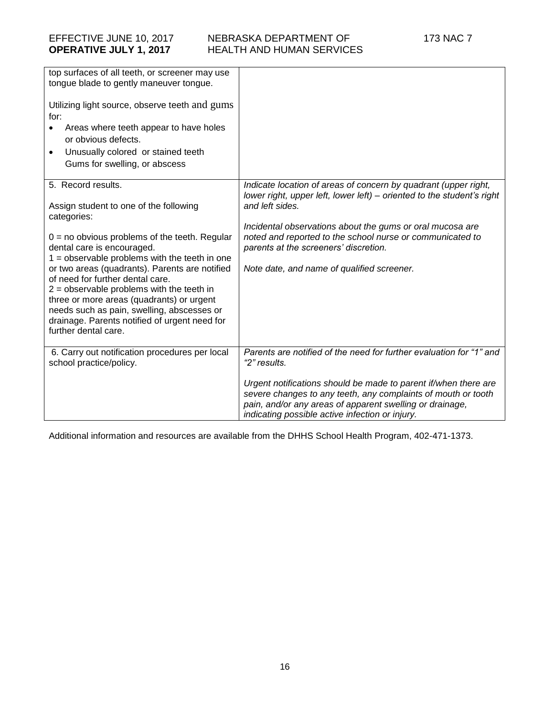| top surfaces of all teeth, or screener may use<br>tongue blade to gently maneuver tongue.<br>Utilizing light source, observe teeth and gums<br>for:<br>Areas where teeth appear to have holes<br>or obvious defects.<br>Unusually colored or stained teeth<br>$\bullet$<br>Gums for swelling, or abscess                                                                                                                                                                                                                 |                                                                                                                                                                                                                                                                                                                                                                               |
|--------------------------------------------------------------------------------------------------------------------------------------------------------------------------------------------------------------------------------------------------------------------------------------------------------------------------------------------------------------------------------------------------------------------------------------------------------------------------------------------------------------------------|-------------------------------------------------------------------------------------------------------------------------------------------------------------------------------------------------------------------------------------------------------------------------------------------------------------------------------------------------------------------------------|
| 5. Record results.<br>Assign student to one of the following<br>categories:<br>$0 = no$ obvious problems of the teeth. Regular<br>dental care is encouraged.<br>$1 =$ observable problems with the teeth in one<br>or two areas (quadrants). Parents are notified<br>of need for further dental care.<br>$2 =$ observable problems with the teeth in<br>three or more areas (quadrants) or urgent<br>needs such as pain, swelling, abscesses or<br>drainage. Parents notified of urgent need for<br>further dental care. | Indicate location of areas of concern by quadrant (upper right,<br>lower right, upper left, lower left) - oriented to the student's right<br>and left sides.<br>Incidental observations about the gums or oral mucosa are<br>noted and reported to the school nurse or communicated to<br>parents at the screeners' discretion.<br>Note date, and name of qualified screener. |
| 6. Carry out notification procedures per local<br>school practice/policy.                                                                                                                                                                                                                                                                                                                                                                                                                                                | Parents are notified of the need for further evaluation for "1" and<br>"2" results.<br>Urgent notifications should be made to parent if/when there are<br>severe changes to any teeth, any complaints of mouth or tooth<br>pain, and/or any areas of apparent swelling or drainage,<br>indicating possible active infection or injury.                                        |